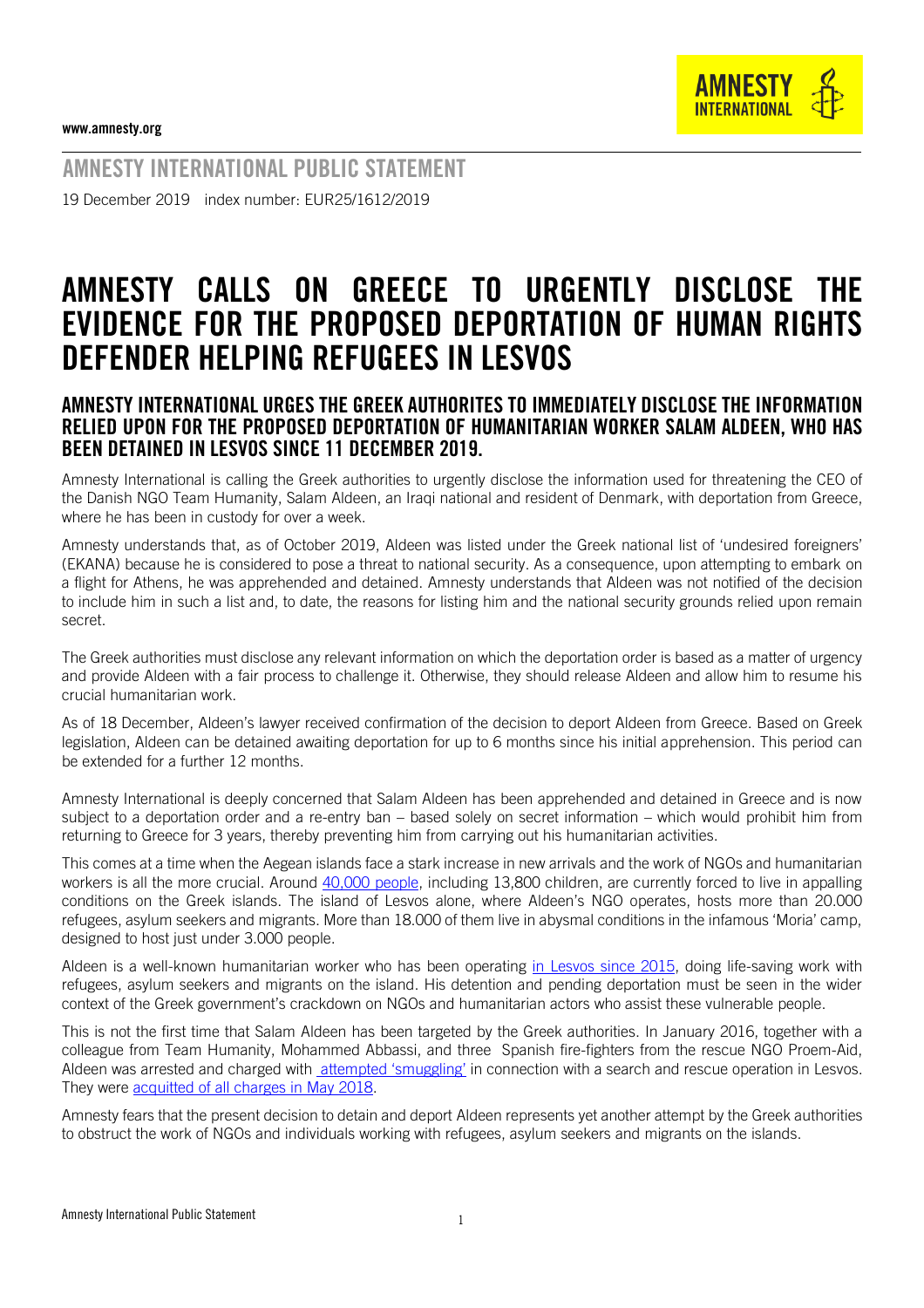

AMNESTY INTERNATIONAL PUBLIC STATEMENT 19 December 2019 index number: EUR25/1612/2019

## AMNESTY CALLS ON GREECE TO URGENTLY DISCLOSE THE EVIDENCE FOR THE PROPOSED DEPORTATION OF HUMAN RIGHTS DEFENDER HELPING REFUGEES IN LESVOS

## AMNESTY INTERNATIONAL URGES THE GREEK AUTHORITES TO IMMEDIATELY DISCLOSE THE INFORMATION RELIED UPON FOR THE PROPOSED DEPORTATION OF HUMANITARIAN WORKER SALAM ALDEEN, WHO HAS BEEN DETAINED IN LESVOS SINCE 11 DECEMBER 2019.

Amnesty International is calling the Greek authorities to urgently disclose the information used for threatening the CEO of the Danish NGO Team Humanity, Salam Aldeen, an Iraqi national and resident of Denmark, with deportation from Greece, where he has been in custody for over a week.

Amnesty understands that, as of October 2019, Aldeen was listed under the Greek national list of 'undesired foreigners' (EKANA) because he is considered to pose a threat to national security. As a consequence, upon attempting to embark on a flight for Athens, he was apprehended and detained. Amnesty understands that Aldeen was not notified of the decision to include him in such a list and, to date, the reasons for listing him and the national security grounds relied upon remain secret.

The Greek authorities must disclose any relevant information on which the deportation order is based as a matter of urgency and provide Aldeen with a fair process to challenge it. Otherwise, they should release Aldeen and allow him to resume his crucial humanitarian work.

As of 18 December, Aldeen's lawyer received confirmation of the decision to deport Aldeen from Greece. Based on Greek legislation, Aldeen can be detained awaiting deportation for up to 6 months since his initial apprehension. This period can be extended for a further 12 months.

Amnesty International is deeply concerned that Salam Aldeen has been apprehended and detained in Greece and is now subject to a deportation order and a re-entry ban – based solely on secret information – which would prohibit him from returning to Greece for 3 years, thereby preventing him from carrying out his humanitarian activities.

This comes at a time when the Aegean islands face a stark increase in new arrivals and the work of NGOs and humanitarian workers is all the more crucial. Around [40,000 people,](https://infocrisis.gov.gr/7164/national-situational-picture-regarding-the-islands-at-eastern-aegean-sea-16-12-2019/?lang=en) including 13,800 children, are currently forced to live in appalling conditions on the Greek islands. The island of Lesvos alone, where Aldeen's NGO operates, hosts more than 20.000 refugees, asylum seekers and migrants. More than 18.000 of them live in abysmal conditions in the infamous 'Moria' camp, designed to host just under 3.000 people.

Aldeen is a well-known humanitarian worker who has been operating [in Lesvos since 2015,](https://teamhumanity.eu/about-us.html) doing life-saving work with refugees, asylum seekers and migrants on the island. His detention and pending deportation must be seen in the wider context of the Greek government's crackdown on NGOs and humanitarian actors who assist these vulnerable people.

This is not the first time that Salam Aldeen has been targeted by the Greek authorities. In January 2016, together with a colleague from Team Humanity, Mohammed Abbassi, and three Spanish fire-fighters from the rescue NGO Proem-Aid, Aldeen was arrested and charged with [attempted 'smuggling'](https://www.amnesty.org.uk/press-releases/greece-absurd-people-smuggling-charges-against-three-ngo-volunteers-should-be) in connection with a search and rescue operation in Lesvos. They were [acquitted of all charges in May 2018.](https://www.nytimes.com/2018/05/07/world/europe/greece-migrants-volunteers.html?auth=linked-google)

Amnesty fears that the present decision to detain and deport Aldeen represents yet another attempt by the Greek authorities to obstruct the work of NGOs and individuals working with refugees, asylum seekers and migrants on the islands.